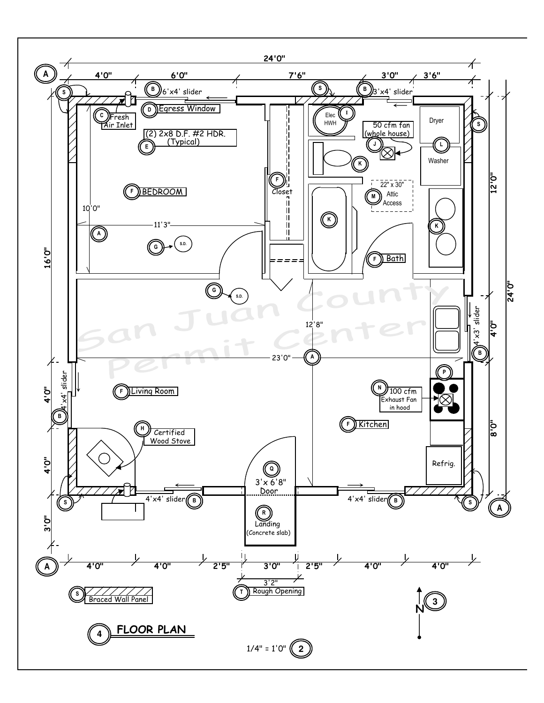